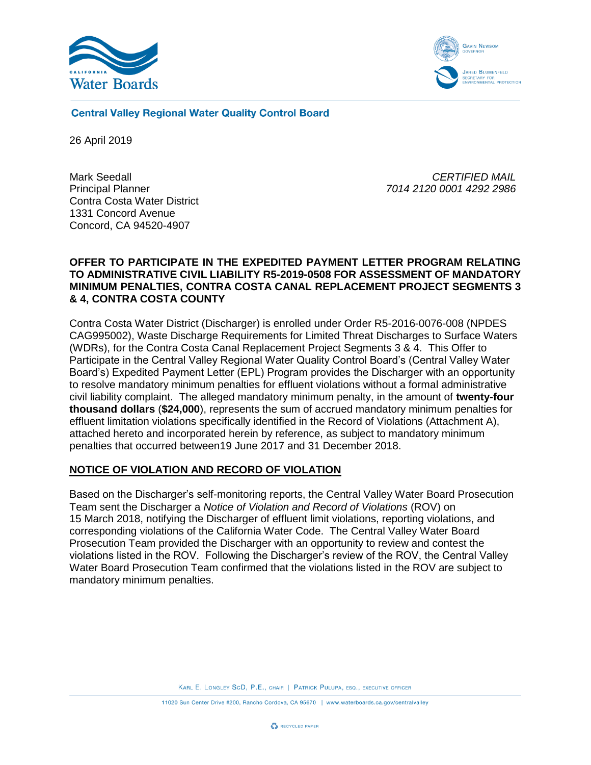



**Central Valley Regional Water Quality Control Board** 

26 April 2019

Mark Seedall Principal Planner Contra Costa Water District 1331 Concord Avenue Concord, CA 94520-4907

*CERTIFIED MAIL 7014 2120 0001 4292 2986*

### **OFFER TO PARTICIPATE IN THE EXPEDITED PAYMENT LETTER PROGRAM RELATING TO ADMINISTRATIVE CIVIL LIABILITY R5-2019-0508 FOR ASSESSMENT OF MANDATORY MINIMUM PENALTIES, CONTRA COSTA CANAL REPLACEMENT PROJECT SEGMENTS 3 & 4, CONTRA COSTA COUNTY**

Contra Costa Water District (Discharger) is enrolled under Order R5-2016-0076-008 (NPDES CAG995002), Waste Discharge Requirements for Limited Threat Discharges to Surface Waters (WDRs), for the Contra Costa Canal Replacement Project Segments 3 & 4. This Offer to Participate in the Central Valley Regional Water Quality Control Board's (Central Valley Water Board's) Expedited Payment Letter (EPL) Program provides the Discharger with an opportunity to resolve mandatory minimum penalties for effluent violations without a formal administrative civil liability complaint. The alleged mandatory minimum penalty, in the amount of **twenty-four thousand dollars** (**\$24,000**), represents the sum of accrued mandatory minimum penalties for effluent limitation violations specifically identified in the Record of Violations (Attachment A), attached hereto and incorporated herein by reference, as subject to mandatory minimum penalties that occurred between19 June 2017 and 31 December 2018.

# **NOTICE OF VIOLATION AND RECORD OF VIOLATION**

Based on the Discharger's self-monitoring reports, the Central Valley Water Board Prosecution Team sent the Discharger a *Notice of Violation and Record of Violations* (ROV) on 15 March 2018, notifying the Discharger of effluent limit violations, reporting violations, and corresponding violations of the California Water Code. The Central Valley Water Board Prosecution Team provided the Discharger with an opportunity to review and contest the violations listed in the ROV. Following the Discharger's review of the ROV, the Central Valley Water Board Prosecution Team confirmed that the violations listed in the ROV are subject to mandatory minimum penalties.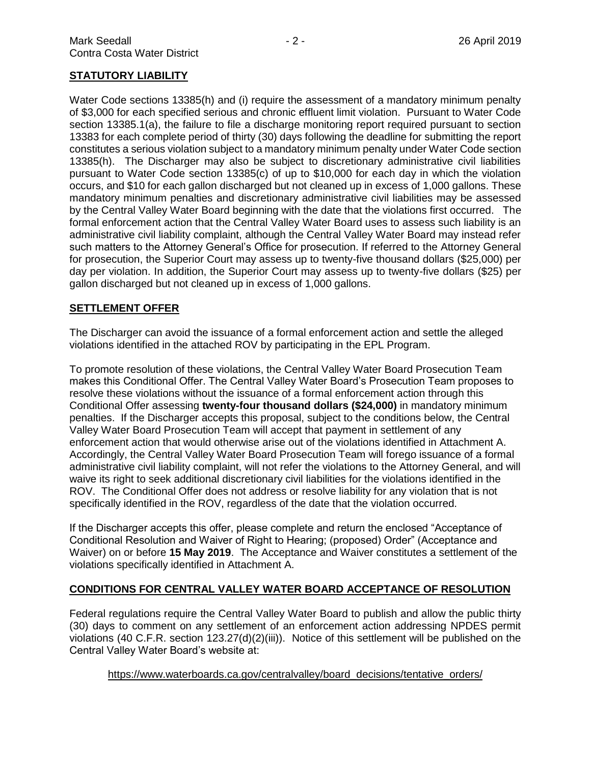## **STATUTORY LIABILITY**

Water Code sections 13385(h) and (i) require the assessment of a mandatory minimum penalty of \$3,000 for each specified serious and chronic effluent limit violation. Pursuant to Water Code section 13385.1(a), the failure to file a discharge monitoring report required pursuant to section 13383 for each complete period of thirty (30) days following the deadline for submitting the report constitutes a serious violation subject to a mandatory minimum penalty under Water Code section 13385(h). The Discharger may also be subject to discretionary administrative civil liabilities pursuant to Water Code section 13385(c) of up to \$10,000 for each day in which the violation occurs, and \$10 for each gallon discharged but not cleaned up in excess of 1,000 gallons. These mandatory minimum penalties and discretionary administrative civil liabilities may be assessed by the Central Valley Water Board beginning with the date that the violations first occurred. The formal enforcement action that the Central Valley Water Board uses to assess such liability is an administrative civil liability complaint, although the Central Valley Water Board may instead refer such matters to the Attorney General's Office for prosecution. If referred to the Attorney General for prosecution, the Superior Court may assess up to twenty-five thousand dollars (\$25,000) per day per violation. In addition, the Superior Court may assess up to twenty-five dollars (\$25) per gallon discharged but not cleaned up in excess of 1,000 gallons.

#### **SETTLEMENT OFFER**

The Discharger can avoid the issuance of a formal enforcement action and settle the alleged violations identified in the attached ROV by participating in the EPL Program.

To promote resolution of these violations, the Central Valley Water Board Prosecution Team makes this Conditional Offer. The Central Valley Water Board's Prosecution Team proposes to resolve these violations without the issuance of a formal enforcement action through this Conditional Offer assessing **twenty-four thousand dollars (\$24,000)** in mandatory minimum penalties. If the Discharger accepts this proposal, subject to the conditions below, the Central Valley Water Board Prosecution Team will accept that payment in settlement of any enforcement action that would otherwise arise out of the violations identified in Attachment A. Accordingly, the Central Valley Water Board Prosecution Team will forego issuance of a formal administrative civil liability complaint, will not refer the violations to the Attorney General, and will waive its right to seek additional discretionary civil liabilities for the violations identified in the ROV. The Conditional Offer does not address or resolve liability for any violation that is not specifically identified in the ROV, regardless of the date that the violation occurred.

If the Discharger accepts this offer, please complete and return the enclosed "Acceptance of Conditional Resolution and Waiver of Right to Hearing; (proposed) Order" (Acceptance and Waiver) on or before **15 May 2019**. The Acceptance and Waiver constitutes a settlement of the violations specifically identified in Attachment A.

### **CONDITIONS FOR CENTRAL VALLEY WATER BOARD ACCEPTANCE OF RESOLUTION**

Federal regulations require the Central Valley Water Board to publish and allow the public thirty (30) days to comment on any settlement of an enforcement action addressing NPDES permit violations (40 C.F.R. section 123.27(d)(2)(iii)). Notice of this settlement will be published on the Central Valley Water Board's website at:

### [https://www.waterboards.ca.gov/centralvalley/board\\_decisions/tentative\\_orders/](https://www.waterboards.ca.gov/centralvalley/board_decisions/tentative_orders/)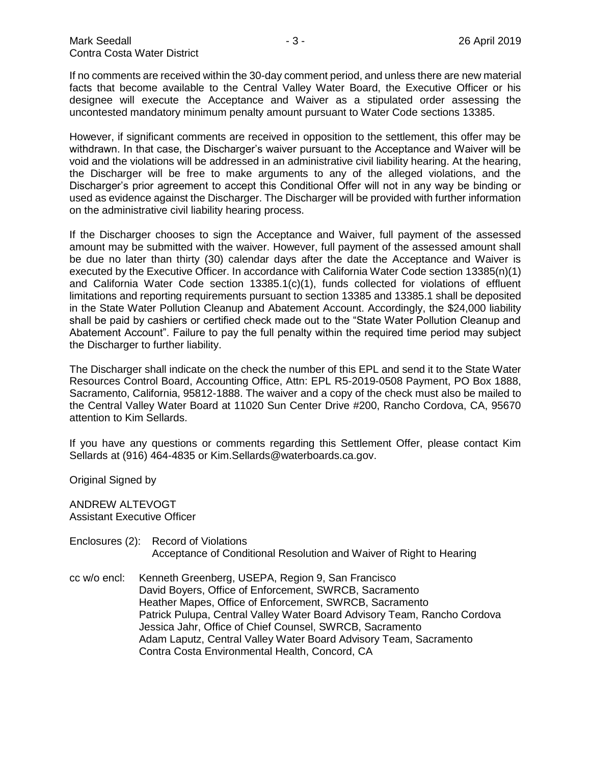If no comments are received within the 30-day comment period, and unless there are new material facts that become available to the Central Valley Water Board, the Executive Officer or his designee will execute the Acceptance and Waiver as a stipulated order assessing the uncontested mandatory minimum penalty amount pursuant to Water Code sections 13385.

However, if significant comments are received in opposition to the settlement, this offer may be withdrawn. In that case, the Discharger's waiver pursuant to the Acceptance and Waiver will be void and the violations will be addressed in an administrative civil liability hearing. At the hearing, the Discharger will be free to make arguments to any of the alleged violations, and the Discharger's prior agreement to accept this Conditional Offer will not in any way be binding or used as evidence against the Discharger. The Discharger will be provided with further information on the administrative civil liability hearing process.

If the Discharger chooses to sign the Acceptance and Waiver, full payment of the assessed amount may be submitted with the waiver. However, full payment of the assessed amount shall be due no later than thirty (30) calendar days after the date the Acceptance and Waiver is executed by the Executive Officer. In accordance with California Water Code section 13385(n)(1) and California Water Code section 13385.1(c)(1), funds collected for violations of effluent limitations and reporting requirements pursuant to section 13385 and 13385.1 shall be deposited in the State Water Pollution Cleanup and Abatement Account. Accordingly, the \$24,000 liability shall be paid by cashiers or certified check made out to the "State Water Pollution Cleanup and Abatement Account". Failure to pay the full penalty within the required time period may subject the Discharger to further liability.

The Discharger shall indicate on the check the number of this EPL and send it to the State Water Resources Control Board, Accounting Office, Attn: EPL R5-2019-0508 Payment, PO Box 1888, Sacramento, California, 95812-1888. The waiver and a copy of the check must also be mailed to the Central Valley Water Board at 11020 Sun Center Drive #200, Rancho Cordova, CA, 95670 attention to Kim Sellards.

If you have any questions or comments regarding this Settlement Offer, please contact Kim Sellards at (916) 464-4835 or Kim.Sellards@waterboards.ca.gov.

Original Signed by

ANDREW ALTEVOGT Assistant Executive Officer

- Enclosures (2): Record of Violations Acceptance of Conditional Resolution and Waiver of Right to Hearing
- cc w/o encl: Kenneth Greenberg, USEPA, Region 9, San Francisco David Boyers, Office of Enforcement, SWRCB, Sacramento Heather Mapes, Office of Enforcement, SWRCB, Sacramento Patrick Pulupa, Central Valley Water Board Advisory Team, Rancho Cordova Jessica Jahr, Office of Chief Counsel, SWRCB, Sacramento Adam Laputz, Central Valley Water Board Advisory Team, Sacramento Contra Costa Environmental Health, Concord, CA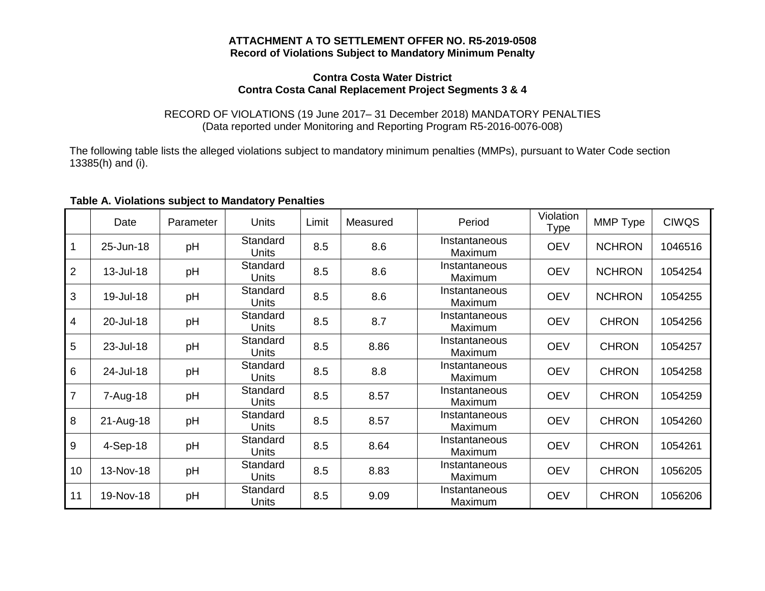### **ATTACHMENT A TO SETTLEMENT OFFER NO. R5-2019-0508 Record of Violations Subject to Mandatory Minimum Penalty**

### **Contra Costa Water District Contra Costa Canal Replacement Project Segments 3 & 4**

### RECORD OF VIOLATIONS (19 June 2017– 31 December 2018) MANDATORY PENALTIES (Data reported under Monitoring and Reporting Program R5-2016-0076-008)

The following table lists the alleged violations subject to mandatory minimum penalties (MMPs), pursuant to Water Code section 13385(h) and (i).

|                | Date       | Parameter | <b>Units</b>             | Limit | Measured | Period                   | Violation<br>Type | MMP Type      | <b>CIWQS</b> |
|----------------|------------|-----------|--------------------------|-------|----------|--------------------------|-------------------|---------------|--------------|
| $\overline{1}$ | 25-Jun-18  | pH        | Standard<br>Units        | 8.5   | 8.6      | Instantaneous<br>Maximum | <b>OEV</b>        | <b>NCHRON</b> | 1046516      |
| 2              | 13-Jul-18  | pH        | Standard<br>Units        | 8.5   | 8.6      | Instantaneous<br>Maximum | <b>OEV</b>        | <b>NCHRON</b> | 1054254      |
| 3              | 19-Jul-18  | pH        | Standard<br><b>Units</b> | 8.5   | 8.6      | Instantaneous<br>Maximum | <b>OEV</b>        | <b>NCHRON</b> | 1054255      |
| $\overline{4}$ | 20-Jul-18  | pH        | Standard<br><b>Units</b> | 8.5   | 8.7      | Instantaneous<br>Maximum | <b>OEV</b>        | <b>CHRON</b>  | 1054256      |
| 5              | 23-Jul-18  | pH        | Standard<br><b>Units</b> | 8.5   | 8.86     | Instantaneous<br>Maximum | <b>OEV</b>        | <b>CHRON</b>  | 1054257      |
| 6              | 24-Jul-18  | pH        | Standard<br>Units        | 8.5   | 8.8      | Instantaneous<br>Maximum | <b>OEV</b>        | <b>CHRON</b>  | 1054258      |
| $\overline{7}$ | 7-Aug-18   | pH        | Standard<br><b>Units</b> | 8.5   | 8.57     | Instantaneous<br>Maximum | <b>OEV</b>        | <b>CHRON</b>  | 1054259      |
| 8              | 21-Aug-18  | pH        | Standard<br>Units        | 8.5   | 8.57     | Instantaneous<br>Maximum | <b>OEV</b>        | <b>CHRON</b>  | 1054260      |
| 9              | $4-Sep-18$ | pH        | Standard<br><b>Units</b> | 8.5   | 8.64     | Instantaneous<br>Maximum | <b>OEV</b>        | <b>CHRON</b>  | 1054261      |
| 10             | 13-Nov-18  | pH        | Standard<br><b>Units</b> | 8.5   | 8.83     | Instantaneous<br>Maximum | <b>OEV</b>        | <b>CHRON</b>  | 1056205      |
| 11             | 19-Nov-18  | pH        | Standard<br><b>Units</b> | 8.5   | 9.09     | Instantaneous<br>Maximum | <b>OEV</b>        | <b>CHRON</b>  | 1056206      |

### **Table A. Violations subject to Mandatory Penalties**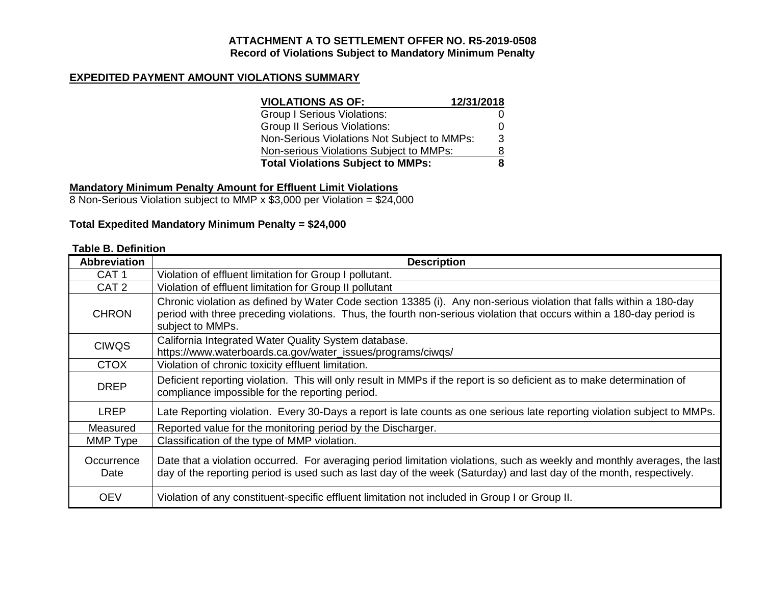### **ATTACHMENT A TO SETTLEMENT OFFER NO. R5-2019-0508 Record of Violations Subject to Mandatory Minimum Penalty**

## **EXPEDITED PAYMENT AMOUNT VIOLATIONS SUMMARY**

| <b>VIOLATIONS AS OF:</b>                    | 12/31/2018 |
|---------------------------------------------|------------|
| <b>Group I Serious Violations:</b>          |            |
| <b>Group II Serious Violations:</b>         |            |
| Non-Serious Violations Not Subject to MMPs: | 3          |
| Non-serious Violations Subject to MMPs:     | 8          |
| <b>Total Violations Subject to MMPs:</b>    |            |

## **Mandatory Minimum Penalty Amount for Effluent Limit Violations**

8 Non-Serious Violation subject to MMP x \$3,000 per Violation = \$24,000

## **Total Expedited Mandatory Minimum Penalty = \$24,000**

## **Table B. Definition**

| <b>Abbreviation</b> | <b>Description</b>                                                                                                                                                                                                                                               |
|---------------------|------------------------------------------------------------------------------------------------------------------------------------------------------------------------------------------------------------------------------------------------------------------|
| CAT <sub>1</sub>    | Violation of effluent limitation for Group I pollutant.                                                                                                                                                                                                          |
| CAT <sub>2</sub>    | Violation of effluent limitation for Group II pollutant                                                                                                                                                                                                          |
| <b>CHRON</b>        | Chronic violation as defined by Water Code section 13385 (i). Any non-serious violation that falls within a 180-day<br>period with three preceding violations. Thus, the fourth non-serious violation that occurs within a 180-day period is<br>subject to MMPs. |
| <b>CIWQS</b>        | California Integrated Water Quality System database.<br>https://www.waterboards.ca.gov/water_issues/programs/ciwqs/                                                                                                                                              |
| <b>CTOX</b>         | Violation of chronic toxicity effluent limitation.                                                                                                                                                                                                               |
| <b>DREP</b>         | Deficient reporting violation. This will only result in MMPs if the report is so deficient as to make determination of<br>compliance impossible for the reporting period.                                                                                        |
| <b>LREP</b>         | Late Reporting violation. Every 30-Days a report is late counts as one serious late reporting violation subject to MMPs.                                                                                                                                         |
| Measured            | Reported value for the monitoring period by the Discharger.                                                                                                                                                                                                      |
| MMP Type            | Classification of the type of MMP violation.                                                                                                                                                                                                                     |
| Occurrence<br>Date  | Date that a violation occurred. For averaging period limitation violations, such as weekly and monthly averages, the last<br>day of the reporting period is used such as last day of the week (Saturday) and last day of the month, respectively.                |
| <b>OEV</b>          | Violation of any constituent-specific effluent limitation not included in Group I or Group II.                                                                                                                                                                   |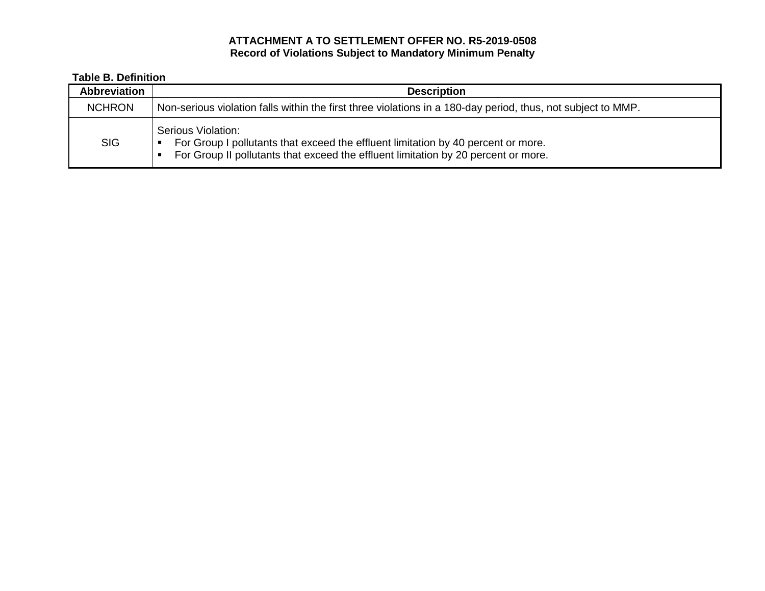## **ATTACHMENT A TO SETTLEMENT OFFER NO. R5-2019-0508 Record of Violations Subject to Mandatory Minimum Penalty**

# **Table B. Definition**

| Abbreviation  | <b>Description</b>                                                                                                                                                                                 |  |
|---------------|----------------------------------------------------------------------------------------------------------------------------------------------------------------------------------------------------|--|
| <b>NCHRON</b> | Non-serious violation falls within the first three violations in a 180-day period, thus, not subject to MMP.                                                                                       |  |
| <b>SIG</b>    | Serious Violation:<br>For Group I pollutants that exceed the effluent limitation by 40 percent or more.<br>п<br>For Group II pollutants that exceed the effluent limitation by 20 percent or more. |  |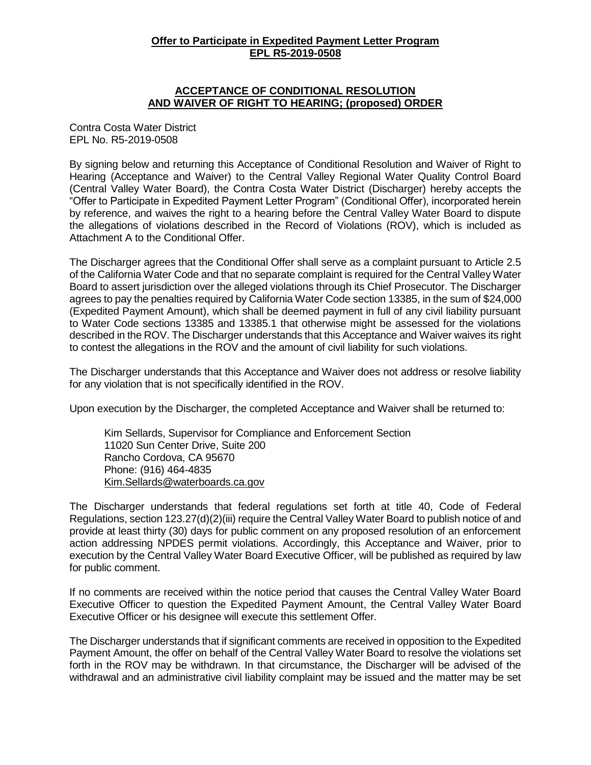### **Offer to Participate in Expedited Payment Letter Program EPL R5-2019-0508**

### **ACCEPTANCE OF CONDITIONAL RESOLUTION AND WAIVER OF RIGHT TO HEARING; (proposed) ORDER**

Contra Costa Water District EPL No. R5-2019-0508

By signing below and returning this Acceptance of Conditional Resolution and Waiver of Right to Hearing (Acceptance and Waiver) to the Central Valley Regional Water Quality Control Board (Central Valley Water Board), the Contra Costa Water District (Discharger) hereby accepts the "Offer to Participate in Expedited Payment Letter Program" (Conditional Offer), incorporated herein by reference, and waives the right to a hearing before the Central Valley Water Board to dispute the allegations of violations described in the Record of Violations (ROV), which is included as Attachment A to the Conditional Offer.

The Discharger agrees that the Conditional Offer shall serve as a complaint pursuant to Article 2.5 of the California Water Code and that no separate complaint is required for the Central Valley Water Board to assert jurisdiction over the alleged violations through its Chief Prosecutor. The Discharger agrees to pay the penalties required by California Water Code section 13385, in the sum of \$24,000 (Expedited Payment Amount), which shall be deemed payment in full of any civil liability pursuant to Water Code sections 13385 and 13385.1 that otherwise might be assessed for the violations described in the ROV. The Discharger understands that this Acceptance and Waiver waives its right to contest the allegations in the ROV and the amount of civil liability for such violations.

The Discharger understands that this Acceptance and Waiver does not address or resolve liability for any violation that is not specifically identified in the ROV.

Upon execution by the Discharger, the completed Acceptance and Waiver shall be returned to:

Kim Sellards, Supervisor for Compliance and Enforcement Section 11020 Sun Center Drive, Suite 200 Rancho Cordova, CA 95670 Phone: (916) 464-4835 [Kim.Sellards@waterboards.ca.gov](mailto:Kim.Sellards@waterboards.ca.gov)

The Discharger understands that federal regulations set forth at title 40, Code of Federal Regulations, section 123.27(d)(2)(iii) require the Central Valley Water Board to publish notice of and provide at least thirty (30) days for public comment on any proposed resolution of an enforcement action addressing NPDES permit violations. Accordingly, this Acceptance and Waiver, prior to execution by the Central Valley Water Board Executive Officer, will be published as required by law for public comment.

If no comments are received within the notice period that causes the Central Valley Water Board Executive Officer to question the Expedited Payment Amount, the Central Valley Water Board Executive Officer or his designee will execute this settlement Offer.

The Discharger understands that if significant comments are received in opposition to the Expedited Payment Amount, the offer on behalf of the Central Valley Water Board to resolve the violations set forth in the ROV may be withdrawn. In that circumstance, the Discharger will be advised of the withdrawal and an administrative civil liability complaint may be issued and the matter may be set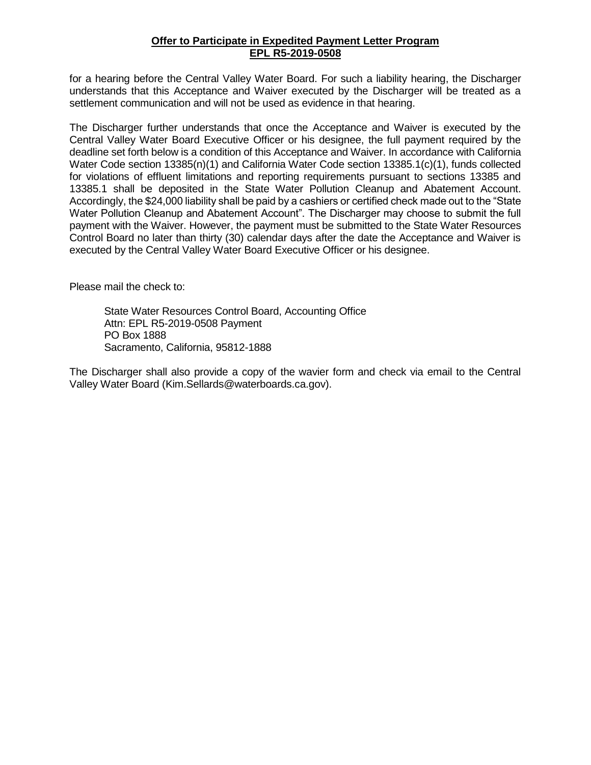### **Offer to Participate in Expedited Payment Letter Program EPL R5-2019-0508**

for a hearing before the Central Valley Water Board. For such a liability hearing, the Discharger understands that this Acceptance and Waiver executed by the Discharger will be treated as a settlement communication and will not be used as evidence in that hearing.

The Discharger further understands that once the Acceptance and Waiver is executed by the Central Valley Water Board Executive Officer or his designee, the full payment required by the deadline set forth below is a condition of this Acceptance and Waiver. In accordance with California Water Code section 13385(n)(1) and California Water Code section 13385.1(c)(1), funds collected for violations of effluent limitations and reporting requirements pursuant to sections 13385 and 13385.1 shall be deposited in the State Water Pollution Cleanup and Abatement Account. Accordingly, the \$24,000 liability shall be paid by a cashiers or certified check made out to the "State Water Pollution Cleanup and Abatement Account". The Discharger may choose to submit the full payment with the Waiver. However, the payment must be submitted to the State Water Resources Control Board no later than thirty (30) calendar days after the date the Acceptance and Waiver is executed by the Central Valley Water Board Executive Officer or his designee.

Please mail the check to:

State Water Resources Control Board, Accounting Office Attn: EPL R5-2019-0508 Payment PO Box 1888 Sacramento, California, 95812-1888

The Discharger shall also provide a copy of the wavier form and check via email to the Central Valley Water Board (Kim.Sellards@waterboards.ca.gov).